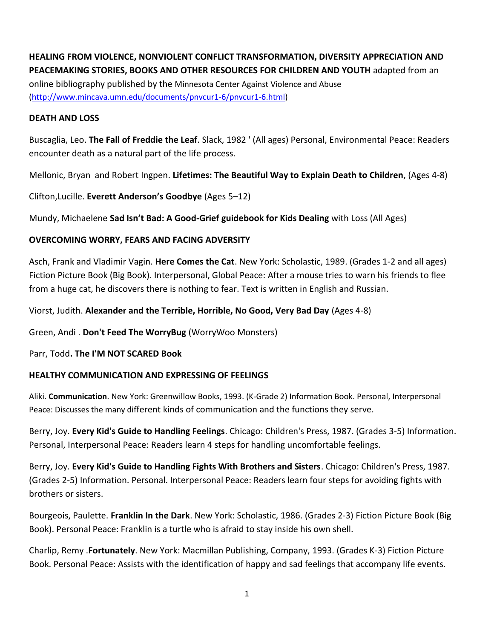# **HEALING FROM VIOLENCE, NONVIOLENT CONFLICT TRANSFORMATION, DIVERSITY APPRECIATION AND PEACEMAKING STORIES, BOOKS AND OTHER RESOURCES FOR CHILDREN AND YOUTH** adapted from an

online bibliography published by the Minnesota Center Against Violence and Abuse [\(http://www.mincava.umn.edu/documents/pnvcur1-6/pnvcur1-6.html\)](http://www.mincava.umn.edu/documents/pnvcur1-6/pnvcur1-6.html)

## **DEATH AND LOSS**

Buscaglia, Leo. **The Fall of Freddie the Leaf**. Slack, 1982 ' (All ages) Personal, Environmental Peace: Readers encounter death as a natural part of the life process.

Mellonic, Bryan and Robert Ingpen. **Lifetimes: The Beautiful Way to Explain Death to Children**, (Ages 4-8)

Clifton,Lucille. **Everett Anderson's Goodbye** (Ages 5–12)

Mundy, Michaelene **Sad Isn't Bad: A Good-Grief guidebook for Kids Dealing** with Loss (All Ages)

## **OVERCOMING WORRY, FEARS AND FACING ADVERSITY**

Asch, Frank and Vladimir Vagin. **Here Comes the Cat**. New York: Scholastic, 1989. (Grades 1-2 and all ages) Fiction Picture Book (Big Book). Interpersonal, Global Peace: After a mouse tries to warn his friends to flee from a huge cat, he discovers there is nothing to fear. Text is written in English and Russian.

Viorst, Judith. **Alexander and the Terrible, Horrible, No Good, Very Bad Day** (Ages 4-8)

Green, Andi . **Don't Feed The WorryBug** (WorryWoo Monsters)

Parr, Todd**. The I'M NOT SCARED Book**

## **HEALTHY COMMUNICATION AND EXPRESSING OF FEELINGS**

Aliki. **Communication**. New York: Greenwillow Books, 1993. (K-Grade 2) Information Book. Personal, Interpersonal Peace: Discusses the many different kinds of communication and the functions they serve.

Berry, Joy. **Every Kid's Guide to Handling Feelings**. Chicago: Children's Press, 1987. (Grades 3-5) Information. Personal, Interpersonal Peace: Readers learn 4 steps for handling uncomfortable feelings.

Berry, Joy. **Every Kid's Guide to Handling Fights With Brothers and Sisters**. Chicago: Children's Press, 1987. (Grades 2-5) Information. Personal. Interpersonal Peace: Readers learn four steps for avoiding fights with brothers or sisters.

Bourgeois, Paulette. **Franklin In the Dark**. New York: Scholastic, 1986. (Grades 2-3) Fiction Picture Book (Big Book). Personal Peace: Franklin is a turtle who is afraid to stay inside his own shell.

Charlip, Remy .**Fortunately**. New York: Macmillan Publishing, Company, 1993. (Grades K-3) Fiction Picture Book. Personal Peace: Assists with the identification of happy and sad feelings that accompany life events.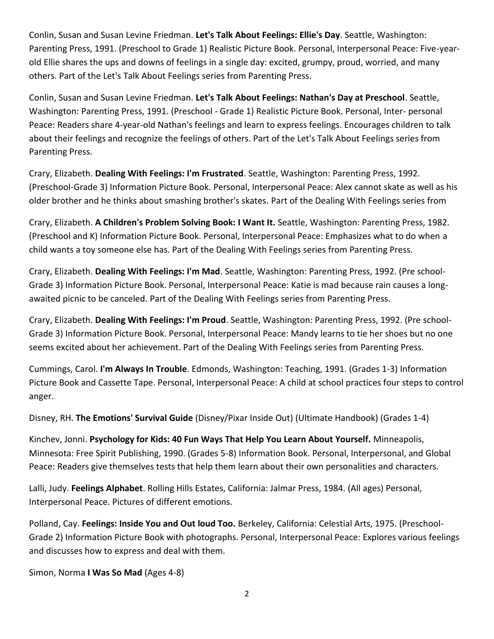Conlin, Susan and Susan Levine Friedman. **Let's Talk About Feelings: Ellie's Day**. Seattle, Washington: Parenting Press, 1991. (Preschool to Grade 1) Realistic Picture Book. Personal, Interpersonal Peace: Five-yearold Ellie shares the ups and downs of feelings in a single day: excited, grumpy, proud, worried, and many others. Part of the Let's Talk About Feelings series from Parenting Press.

Conlin, Susan and Susan Levine Friedman. **Let's Talk About Feelings: Nathan's Day at Preschool**. Seattle, Washington: Parenting Press, 1991. (Preschool - Grade 1) Realistic Picture Book. Personal, Inter- personal Peace: Readers share 4-year-old Nathan's feelings and learn to express feelings. Encourages children to talk about their feelings and recognize the feelings of others. Part of the Let's Talk About Feelings series from Parenting Press.

Crary, Elizabeth. **Dealing With Feelings: I'm Frustrated**. Seattle, Washington: Parenting Press, 1992. (Preschool-Grade 3) Information Picture Book. Personal, Interpersonal Peace: Alex cannot skate as well as his older brother and he thinks about smashing brother's skates. Part of the Dealing With Feelings series from

Crary, Elizabeth. **A Children's Problem Solving Book: I Want It.** Seattle, Washington: Parenting Press, 1982. (Preschool and K) Information Picture Book. Personal, Interpersonal Peace: Emphasizes what to do when a child wants a toy someone else has. Part of the Dealing With Feelings series from Parenting Press.

Crary, Elizabeth. **Dealing With Feelings: I'm Mad**. Seattle, Washington: Parenting Press, 1992. (Pre school-Grade 3) Information Picture Book. Personal, Interpersonal Peace: Katie is mad because rain causes a longawaited picnic to be canceled. Part of the Dealing With Feelings series from Parenting Press.

Crary, Elizabeth. **Dealing With Feelings: I'm Proud**. Seattle, Washington: Parenting Press, 1992. (Pre school-Grade 3) Information Picture Book. Personal, Interpersonal Peace: Mandy learns to tie her shoes but no one seems excited about her achievement. Part of the Dealing With Feelings series from Parenting Press.

Cummings, Carol. **I'm Always In Trouble**. Edmonds, Washington: Teaching, 1991. (Grades 1-3) Information Picture Book and Cassette Tape. Personal, Interpersonal Peace: A child at school practices four steps to control anger.

Disney, RH. **The Emotions' Survival Guide** (Disney/Pixar Inside Out) (Ultimate Handbook) (Grades 1-4)

Kinchev, Jonni. **Psychology for Kids: 40 Fun Ways That Help You Learn About Yourself.** Minneapolis, Minnesota: Free Spirit Publishing, 1990. (Grades 5-8) Information Book. Personal, Interpersonal, and Global Peace: Readers give themselves tests that help them learn about their own personalities and characters.

Lalli, Judy. **Feelings Alphabet**. Rolling Hills Estates, California: Jalmar Press, 1984. (All ages) Personal, Interpersonal Peace. Pictures of different emotions.

Polland, Cay. **Feelings: Inside You and Out loud Too.** Berkeley, California: Celestial Arts, 1975. (Preschool-Grade 2) Information Picture Book with photographs. Personal, Interpersonal Peace: Explores various feelings and discusses how to express and deal with them.

Simon, Norma **I Was So Mad** (Ages 4-8)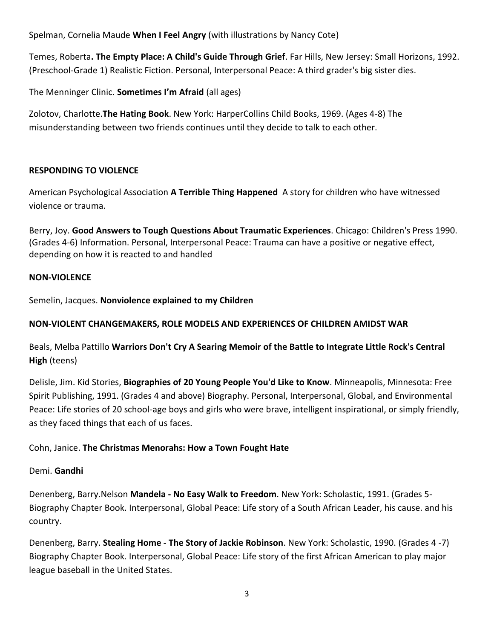Spelman, Cornelia Maude **When I Feel Angry** (with illustrations by Nancy Cote)

Temes, Roberta**. The Empty Place: A Child's Guide Through Grief**. Far Hills, New Jersey: Small Horizons, 1992. (Preschool-Grade 1) Realistic Fiction. Personal, Interpersonal Peace: A third grader's big sister dies.

The Menninger Clinic. **Sometimes I'm Afraid** (all ages)

Zolotov, Charlotte.**The Hating Book**. New York: HarperCollins Child Books, 1969. (Ages 4-8) The misunderstanding between two friends continues until they decide to talk to each other.

## **RESPONDING TO VIOLENCE**

American Psychological Association **A Terrible Thing Happened** A story for children who have witnessed violence or trauma.

Berry, Joy. **Good Answers to Tough Questions About Traumatic Experiences**. Chicago: Children's Press 1990. (Grades 4-6) Information. Personal, Interpersonal Peace: Trauma can have a positive or negative effect, depending on how it is reacted to and handled

## **NON-VIOLENCE**

Semelin, Jacques. **Nonviolence explained to my Children**

## **NON-VIOLENT CHANGEMAKERS, ROLE MODELS AND EXPERIENCES OF CHILDREN AMIDST WAR**

Beals, Melba Pattillo **Warriors Don't Cry A Searing Memoir of the Battle to Integrate Little Rock's Central High** (teens)

Delisle, Jim. Kid Stories, **Biographies of 20 Young People You'd Like to Know**. Minneapolis, Minnesota: Free Spirit Publishing, 1991. (Grades 4 and above) Biography. Personal, Interpersonal, Global, and Environmental Peace: Life stories of 20 school-age boys and girls who were brave, intelligent inspirational, or simply friendly, as they faced things that each of us faces.

## Cohn, Janice. **The Christmas Menorahs: How a Town Fought Hate**

## Demi. **Gandhi**

Denenberg, Barry.Nelson **Mandela - No Easy Walk to Freedom**. New York: Scholastic, 1991. (Grades 5- Biography Chapter Book. Interpersonal, Global Peace: Life story of a South African Leader, his cause. and his country.

Denenberg, Barry. **Stealing Home - The Story of Jackie Robinson**. New York: Scholastic, 1990. (Grades 4 -7) Biography Chapter Book. Interpersonal, Global Peace: Life story of the first African American to play major league baseball in the United States.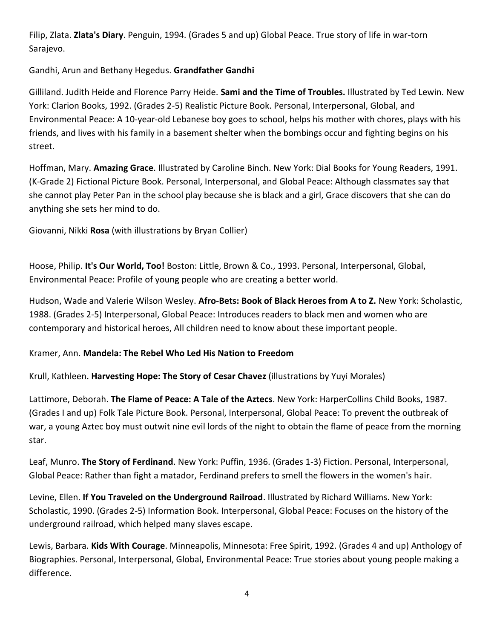Filip, Zlata. **Zlata's Diary**. Penguin, 1994. (Grades 5 and up) Global Peace. True story of life in war-torn Sarajevo.

Gandhi, Arun and Bethany Hegedus. **Grandfather Gandhi**

Gilliland. Judith Heide and Florence Parry Heide. **Sami and the Time of Troubles.** Illustrated by Ted Lewin. New York: Clarion Books, 1992. (Grades 2-5) Realistic Picture Book. Personal, Interpersonal, Global, and Environmental Peace: A 10-year-old Lebanese boy goes to school, helps his mother with chores, plays with his friends, and lives with his family in a basement shelter when the bombings occur and fighting begins on his street.

Hoffman, Mary. **Amazing Grace**. Illustrated by Caroline Binch. New York: Dial Books for Young Readers, 1991. (K-Grade 2) Fictional Picture Book. Personal, Interpersonal, and Global Peace: Although classmates say that she cannot play Peter Pan in the school play because she is black and a girl, Grace discovers that she can do anything she sets her mind to do.

Giovanni, Nikki **Rosa** (with illustrations by Bryan Collier)

Hoose, Philip. **It's Our World, Too!** Boston: Little, Brown & Co., 1993. Personal, Interpersonal, Global, Environmental Peace: Profile of young people who are creating a better world.

Hudson, Wade and Valerie Wilson Wesley. **Afro-Bets: Book of Black Heroes from A to Z.** New York: Scholastic, 1988. (Grades 2-5) Interpersonal, Global Peace: Introduces readers to black men and women who are contemporary and historical heroes, All children need to know about these important people.

## Kramer, Ann. **Mandela: The Rebel Who Led His Nation to Freedom**

Krull, Kathleen. **Harvesting Hope: The Story of Cesar Chavez** (illustrations by Yuyi Morales)

Lattimore, Deborah. **The Flame of Peace: A Tale of the Aztecs**. New York: HarperCollins Child Books, 1987. (Grades I and up) Folk Tale Picture Book. Personal, Interpersonal, Global Peace: To prevent the outbreak of war, a young Aztec boy must outwit nine evil lords of the night to obtain the flame of peace from the morning star.

Leaf, Munro. **The Story of Ferdinand**. New York: Puffin, 1936. (Grades 1-3) Fiction. Personal, Interpersonal, Global Peace: Rather than fight a matador, Ferdinand prefers to smell the flowers in the women's hair.

Levine, Ellen. **If You Traveled on the Underground Railroad**. Illustrated by Richard Williams. New York: Scholastic, 1990. (Grades 2-5) Information Book. Interpersonal, Global Peace: Focuses on the history of the underground railroad, which helped many slaves escape.

Lewis, Barbara. **Kids With Courage**. Minneapolis, Minnesota: Free Spirit, 1992. (Grades 4 and up) Anthology of Biographies. Personal, Interpersonal, Global, Environmental Peace: True stories about young people making a difference.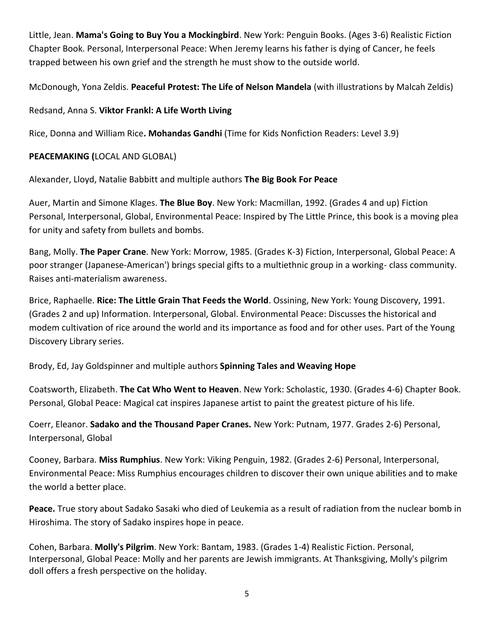Little, Jean. **Mama's Going to Buy You a Mockingbird**. New York: Penguin Books. (Ages 3-6) Realistic Fiction Chapter Book. Personal, Interpersonal Peace: When Jeremy learns his father is dying of Cancer, he feels trapped between his own grief and the strength he must show to the outside world.

McDonough, Yona Zeldis. **Peaceful Protest: The Life of Nelson Mandela** (with illustrations by Malcah Zeldis)

## Redsand, Anna S. **Viktor Frankl: A Life Worth Living**

Rice, Donna and William Rice**. Mohandas Gandhi** (Time for Kids Nonfiction Readers: Level 3.9)

## **PEACEMAKING (**LOCAL AND GLOBAL)

Alexander, Lloyd, Natalie Babbitt and multiple authors **The Big Book For Peace**

Auer, Martin and Simone Klages. **The Blue Boy**. New York: Macmillan, 1992. (Grades 4 and up) Fiction Personal, Interpersonal, Global, Environmental Peace: Inspired by The Little Prince, this book is a moving plea for unity and safety from bullets and bombs.

Bang, Molly. **The Paper Crane**. New York: Morrow, 1985. (Grades K-3) Fiction, Interpersonal, Global Peace: A poor stranger (Japanese-American') brings special gifts to a multiethnic group in a working- class community. Raises anti-materialism awareness.

Brice, Raphaelle. **Rice: The Little Grain That Feeds the World**. Ossining, New York: Young Discovery, 1991. (Grades 2 and up) Information. Interpersonal, Global. Environmental Peace: Discusses the historical and modem cultivation of rice around the world and its importance as food and for other uses. Part of the Young Discovery Library series.

Brody, Ed, Jay Goldspinner and multiple authors **Spinning Tales and Weaving Hope**

Coatsworth, Elizabeth. **The Cat Who Went to Heaven**. New York: Scholastic, 1930. (Grades 4-6) Chapter Book. Personal, Global Peace: Magical cat inspires Japanese artist to paint the greatest picture of his life.

Coerr, Eleanor. **Sadako and the Thousand Paper Cranes.** New York: Putnam, 1977. Grades 2-6) Personal, Interpersonal, Global

Cooney, Barbara. **Miss Rumphius**. New York: Viking Penguin, 1982. (Grades 2-6) Personal, Interpersonal, Environmental Peace: Miss Rumphius encourages children to discover their own unique abilities and to make the world a better place.

**Peace.** True story about Sadako Sasaki who died of Leukemia as a result of radiation from the nuclear bomb in Hiroshima. The story of Sadako inspires hope in peace.

Cohen, Barbara. **Molly's Pilgrim**. New York: Bantam, 1983. (Grades 1-4) Realistic Fiction. Personal, Interpersonal, Global Peace: Molly and her parents are Jewish immigrants. At Thanksgiving, Molly's pilgrim doll offers a fresh perspective on the holiday.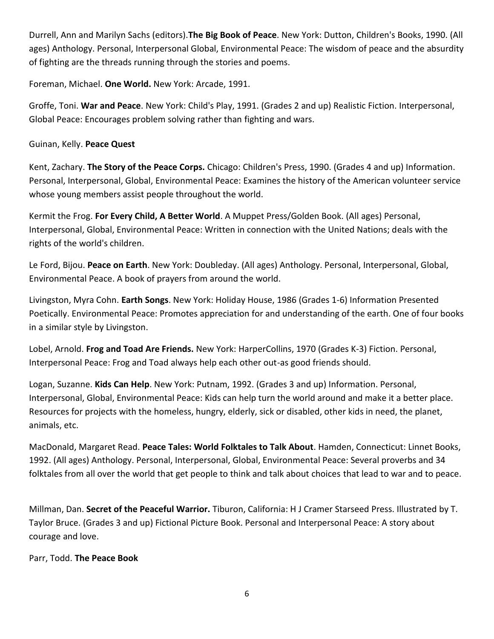Durrell, Ann and Marilyn Sachs (editors).**The Big Book of Peace**. New York: Dutton, Children's Books, 1990. (All ages) Anthology. Personal, Interpersonal Global, Environmental Peace: The wisdom of peace and the absurdity of fighting are the threads running through the stories and poems.

Foreman, Michael. **One World.** New York: Arcade, 1991.

Groffe, Toni. **War and Peace**. New York: Child's Play, 1991. (Grades 2 and up) Realistic Fiction. Interpersonal, Global Peace: Encourages problem solving rather than fighting and wars.

## Guinan, Kelly. **Peace Quest**

Kent, Zachary. **The Story of the Peace Corps.** Chicago: Children's Press, 1990. (Grades 4 and up) Information. Personal, Interpersonal, Global, Environmental Peace: Examines the history of the American volunteer service whose young members assist people throughout the world.

Kermit the Frog. **For Every Child, A Better World**. A Muppet Press/Golden Book. (All ages) Personal, Interpersonal, Global, Environmental Peace: Written in connection with the United Nations; deals with the rights of the world's children.

Le Ford, Bijou. **Peace on Earth**. New York: Doubleday. (All ages) Anthology. Personal, Interpersonal, Global, Environmental Peace. A book of prayers from around the world.

Livingston, Myra Cohn. **Earth Songs**. New York: Holiday House, 1986 (Grades 1-6) Information Presented Poetically. Environmental Peace: Promotes appreciation for and understanding of the earth. One of four books in a similar style by Livingston.

Lobel, Arnold. **Frog and Toad Are Friends.** New York: HarperCollins, 1970 (Grades K-3) Fiction. Personal, Interpersonal Peace: Frog and Toad always help each other out-as good friends should.

Logan, Suzanne. **Kids Can Help**. New York: Putnam, 1992. (Grades 3 and up) Information. Personal, Interpersonal, Global, Environmental Peace: Kids can help turn the world around and make it a better place. Resources for projects with the homeless, hungry, elderly, sick or disabled, other kids in need, the planet, animals, etc.

MacDonald, Margaret Read. **Peace Tales: World Folktales to Talk About**. Hamden, Connecticut: Linnet Books, 1992. (All ages) Anthology. Personal, Interpersonal, Global, Environmental Peace: Several proverbs and 34 folktales from all over the world that get people to think and talk about choices that lead to war and to peace.

Millman, Dan. **Secret of the Peaceful Warrior.** Tiburon, California: H J Cramer Starseed Press. Illustrated by T. Taylor Bruce. (Grades 3 and up) Fictional Picture Book. Personal and Interpersonal Peace: A story about courage and love.

Parr, Todd. **The Peace Book**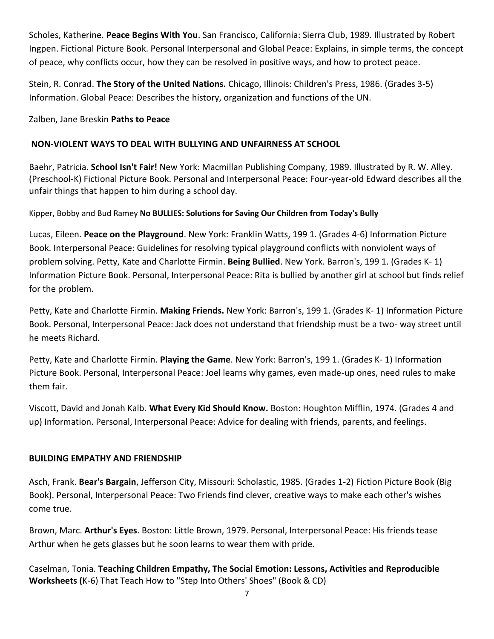Scholes, Katherine. **Peace Begins With You**. San Francisco, California: Sierra Club, 1989. Illustrated by Robert Ingpen. Fictional Picture Book. Personal Interpersonal and Global Peace: Explains, in simple terms, the concept of peace, why conflicts occur, how they can be resolved in positive ways, and how to protect peace.

Stein, R. Conrad. **The Story of the United Nations.** Chicago, Illinois: Children's Press, 1986. (Grades 3-5) Information. Global Peace: Describes the history, organization and functions of the UN.

## Zalben, Jane Breskin **Paths to Peace**

## **NON-VIOLENT WAYS TO DEAL WITH BULLYING AND UNFAIRNESS AT SCHOOL**

Baehr, Patricia. **School Isn't Fair!** New York: Macmillan Publishing Company, 1989. Illustrated by R. W. Alley. (Preschool-K) Fictional Picture Book. Personal and Interpersonal Peace: Four-year-old Edward describes all the unfair things that happen to him during a school day.

Kipper, Bobby and Bud Ramey **No BULLIES: Solutions for Saving Our Children from Today's Bully**

Lucas, Eileen. **Peace on the Playground**. New York: Franklin Watts, 199 1. (Grades 4-6) Information Picture Book. Interpersonal Peace: Guidelines for resolving typical playground conflicts with nonviolent ways of problem solving. Petty, Kate and Charlotte Firmin. **Being Bullied**. New York. Barron's, 199 1. (Grades K- 1) Information Picture Book. Personal, Interpersonal Peace: Rita is bullied by another girl at school but finds relief for the problem.

Petty, Kate and Charlotte Firmin. **Making Friends.** New York: Barron's, 199 1. (Grades K- 1) Information Picture Book. Personal, Interpersonal Peace: Jack does not understand that friendship must be a two- way street until he meets Richard.

Petty, Kate and Charlotte Firmin. **Playing the Game**. New York: Barron's, 199 1. (Grades K- 1) Information Picture Book. Personal, Interpersonal Peace: Joel learns why games, even made-up ones, need rules to make them fair.

Viscott, David and Jonah Kalb. **What Every Kid Should Know.** Boston: Houghton Mifflin, 1974. (Grades 4 and up) Information. Personal, Interpersonal Peace: Advice for dealing with friends, parents, and feelings.

## **BUILDING EMPATHY AND FRIENDSHIP**

Asch, Frank. **Bear's Bargain**, Jefferson City, Missouri: Scholastic, 1985. (Grades 1-2) Fiction Picture Book (Big Book). Personal, Interpersonal Peace: Two Friends find clever, creative ways to make each other's wishes come true.

Brown, Marc. **Arthur's Eyes**. Boston: Little Brown, 1979. Personal, Interpersonal Peace: His friends tease Arthur when he gets glasses but he soon learns to wear them with pride.

Caselman, Tonia. **Teaching Children Empathy, The Social Emotion: Lessons, Activities and Reproducible Worksheets (**K-6) That Teach How to "Step Into Others' Shoes" (Book & CD)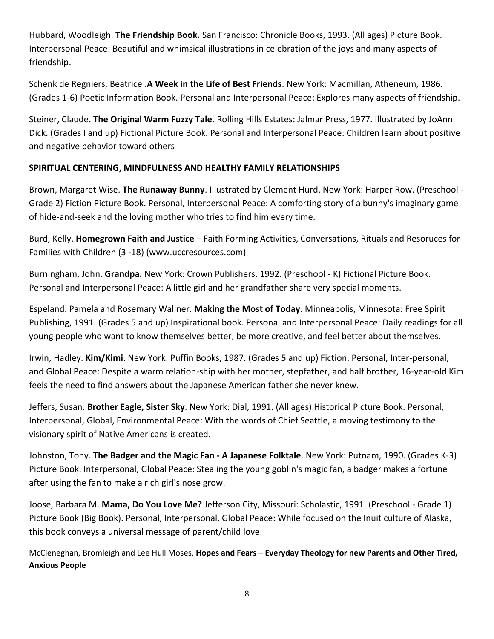Hubbard, Woodleigh. **The Friendship Book.** San Francisco: Chronicle Books, 1993. (All ages) Picture Book. Interpersonal Peace: Beautiful and whimsical illustrations in celebration of the joys and many aspects of friendship.

Schenk de Regniers, Beatrice .**A Week in the Life of Best Friends**. New York: Macmillan, Atheneum, 1986. (Grades 1-6) Poetic Information Book. Personal and Interpersonal Peace: Explores many aspects of friendship.

Steiner, Claude. **The Original Warm Fuzzy Tale**. Rolling Hills Estates: Jalmar Press, 1977. Illustrated by JoAnn Dick. (Grades I and up) Fictional Picture Book. Personal and Interpersonal Peace: Children learn about positive and negative behavior toward others

## **SPIRITUAL CENTERING, MINDFULNESS AND HEALTHY FAMILY RELATIONSHIPS**

Brown, Margaret Wise. **The Runaway Bunny**. Illustrated by Clement Hurd. New York: Harper Row. (Preschool - Grade 2) Fiction Picture Book. Personal, Interpersonal Peace: A comforting story of a bunny's imaginary game of hide-and-seek and the loving mother who tries to find him every time.

Burd, Kelly. **Homegrown Faith and Justice** – Faith Forming Activities, Conversations, Rituals and Resoruces for Families with Children (3 -18) (www.uccresources.com)

Burningham, John. **Grandpa.** New York: Crown Publishers, 1992. (Preschool - K) Fictional Picture Book. Personal and Interpersonal Peace: A little girl and her grandfather share very special moments.

Espeland. Pamela and Rosemary Wallner. **Making the Most of Today**. Minneapolis, Minnesota: Free Spirit Publishing, 1991. (Grades 5 and up) Inspirational book. Personal and Interpersonal Peace: Daily readings for all young people who want to know themselves better, be more creative, and feel better about themselves.

Irwin, Hadley. **Kim/Kimi**. New York: Puffin Books, 1987. (Grades 5 and up) Fiction. Personal, Inter-personal, and Global Peace: Despite a warm relation-ship with her mother, stepfather, and half brother, 16-year-old Kim feels the need to find answers about the Japanese American father she never knew.

Jeffers, Susan. **Brother Eagle, Sister Sky**. New York: Dial, 1991. (All ages) Historical Picture Book. Personal, Interpersonal, Global, Environmental Peace: With the words of Chief Seattle, a moving testimony to the visionary spirit of Native Americans is created.

Johnston, Tony. **The Badger and the Magic Fan - A Japanese Folktale**. New York: Putnam, 1990. (Grades K-3) Picture Book. Interpersonal, Global Peace: Stealing the young goblin's magic fan, a badger makes a fortune after using the fan to make a rich girl's nose grow.

Joose, Barbara M. **Mama, Do You Love Me?** Jefferson City, Missouri: Scholastic, 1991. (Preschool - Grade 1) Picture Book (Big Book). Personal, Interpersonal, Global Peace: While focused on the Inuit culture of Alaska, this book conveys a universal message of parent/child love.

McCleneghan, Bromleigh and Lee Hull Moses. **Hopes and Fears – Everyday Theology for new Parents and Other Tired, Anxious People**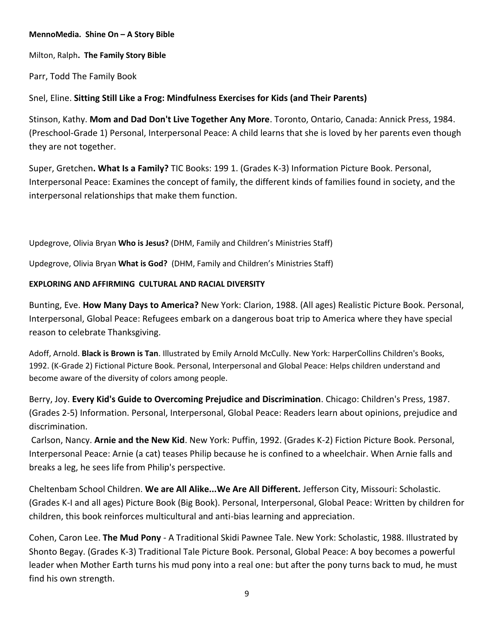#### **MennoMedia. Shine On – A Story Bible**

Milton, Ralph**. The Family Story Bible**

Parr, Todd The Family Book

## Snel, Eline. **Sitting Still Like a Frog: Mindfulness Exercises for Kids (and Their Parents)**

Stinson, Kathy. **Mom and Dad Don't Live Together Any More**. Toronto, Ontario, Canada: Annick Press, 1984. (Preschool-Grade 1) Personal, Interpersonal Peace: A child learns that she is loved by her parents even though they are not together.

Super, Gretchen**. What Is a Family?** TIC Books: 199 1. (Grades K-3) Information Picture Book. Personal, Interpersonal Peace: Examines the concept of family, the different kinds of families found in society, and the interpersonal relationships that make them function.

Updegrove, Olivia Bryan **Who is Jesus?** (DHM, Family and Children's Ministries Staff)

Updegrove, Olivia Bryan **What is God?** (DHM, Family and Children's Ministries Staff)

#### **EXPLORING AND AFFIRMING CULTURAL AND RACIAL DIVERSITY**

Bunting, Eve. **How Many Days to America?** New York: Clarion, 1988. (All ages) Realistic Picture Book. Personal, Interpersonal, Global Peace: Refugees embark on a dangerous boat trip to America where they have special reason to celebrate Thanksgiving.

Adoff, Arnold. **Black is Brown is Tan**. Illustrated by Emily Arnold McCully. New York: HarperCollins Children's Books, 1992. (K-Grade 2) Fictional Picture Book. Personal, Interpersonal and Global Peace: Helps children understand and become aware of the diversity of colors among people.

Berry, Joy. **Every Kid's Guide to Overcoming Prejudice and Discrimination**. Chicago: Children's Press, 1987. (Grades 2-5) Information. Personal, Interpersonal, Global Peace: Readers learn about opinions, prejudice and discrimination.

Carlson, Nancy. **Arnie and the New Kid**. New York: Puffin, 1992. (Grades K-2) Fiction Picture Book. Personal, Interpersonal Peace: Arnie (a cat) teases Philip because he is confined to a wheelchair. When Arnie falls and breaks a leg, he sees life from Philip's perspective.

Cheltenbam School Children. **We are All Alike...We Are All Different.** Jefferson City, Missouri: Scholastic. (Grades K-I and all ages) Picture Book (Big Book). Personal, Interpersonal, Global Peace: Written by children for children, this book reinforces multicultural and anti-bias learning and appreciation.

Cohen, Caron Lee. **The Mud Pony** - A Traditional Skidi Pawnee Tale. New York: Scholastic, 1988. Illustrated by Shonto Begay. (Grades K-3) Traditional Tale Picture Book. Personal, Global Peace: A boy becomes a powerful leader when Mother Earth turns his mud pony into a real one: but after the pony turns back to mud, he must find his own strength.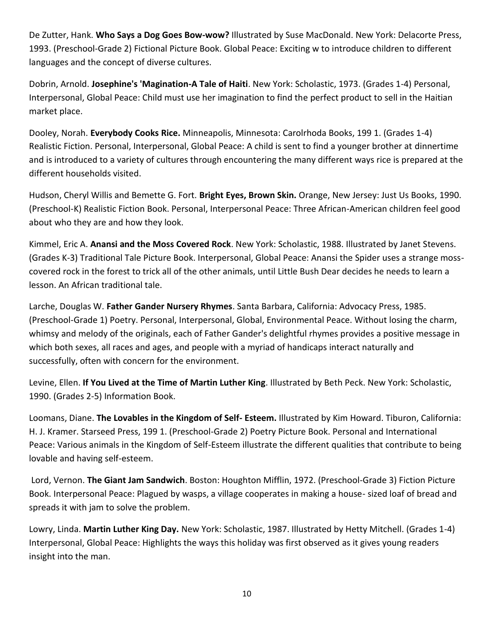De Zutter, Hank. **Who Says a Dog Goes Bow-wow?** Illustrated by Suse MacDonald. New York: Delacorte Press, 1993. (Preschool-Grade 2) Fictional Picture Book. Global Peace: Exciting w to introduce children to different languages and the concept of diverse cultures.

Dobrin, Arnold. **Josephine's 'Magination-A Tale of Haiti**. New York: Scholastic, 1973. (Grades 1-4) Personal, Interpersonal, Global Peace: Child must use her imagination to find the perfect product to sell in the Haitian market place.

Dooley, Norah. **Everybody Cooks Rice.** Minneapolis, Minnesota: Carolrhoda Books, 199 1. (Grades 1-4) Realistic Fiction. Personal, Interpersonal, Global Peace: A child is sent to find a younger brother at dinnertime and is introduced to a variety of cultures through encountering the many different ways rice is prepared at the different households visited.

Hudson, Cheryl Willis and Bemette G. Fort. **Bright Eyes, Brown Skin.** Orange, New Jersey: Just Us Books, 1990. (Preschool-K) Realistic Fiction Book. Personal, Interpersonal Peace: Three African-American children feel good about who they are and how they look.

Kimmel, Eric A. **Anansi and the Moss Covered Rock**. New York: Scholastic, 1988. Illustrated by Janet Stevens. (Grades K-3) Traditional Tale Picture Book. Interpersonal, Global Peace: Anansi the Spider uses a strange mosscovered rock in the forest to trick all of the other animals, until Little Bush Dear decides he needs to learn a lesson. An African traditional tale.

Larche, Douglas W. **Father Gander Nursery Rhymes**. Santa Barbara, California: Advocacy Press, 1985. (Preschool-Grade 1) Poetry. Personal, Interpersonal, Global, Environmental Peace. Without losing the charm, whimsy and melody of the originals, each of Father Gander's delightful rhymes provides a positive message in which both sexes, all races and ages, and people with a myriad of handicaps interact naturally and successfully, often with concern for the environment.

Levine, Ellen. **If You Lived at the Time of Martin Luther King**. Illustrated by Beth Peck. New York: Scholastic, 1990. (Grades 2-5) Information Book.

Loomans, Diane. **The Lovables in the Kingdom of Self- Esteem.** Illustrated by Kim Howard. Tiburon, California: H. J. Kramer. Starseed Press, 199 1. (Preschool-Grade 2) Poetry Picture Book. Personal and International Peace: Various animals in the Kingdom of Self-Esteem illustrate the different qualities that contribute to being lovable and having self-esteem.

Lord, Vernon. **The Giant Jam Sandwich**. Boston: Houghton Mifflin, 1972. (Preschool-Grade 3) Fiction Picture Book. Interpersonal Peace: Plagued by wasps, a village cooperates in making a house- sized loaf of bread and spreads it with jam to solve the problem.

Lowry, Linda. **Martin Luther King Day.** New York: Scholastic, 1987. Illustrated by Hetty Mitchell. (Grades 1-4) Interpersonal, Global Peace: Highlights the ways this holiday was first observed as it gives young readers insight into the man.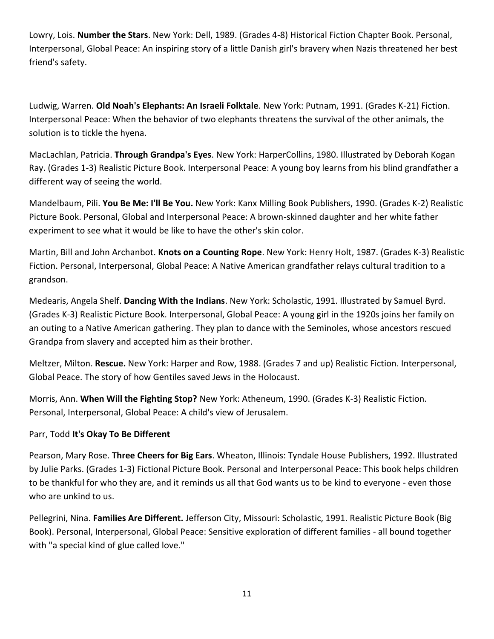Lowry, Lois. **Number the Stars**. New York: Dell, 1989. (Grades 4-8) Historical Fiction Chapter Book. Personal, Interpersonal, Global Peace: An inspiring story of a little Danish girl's bravery when Nazis threatened her best friend's safety.

Ludwig, Warren. **Old Noah's Elephants: An Israeli Folktale**. New York: Putnam, 1991. (Grades K-21) Fiction. Interpersonal Peace: When the behavior of two elephants threatens the survival of the other animals, the solution is to tickle the hyena.

MacLachlan, Patricia. **Through Grandpa's Eyes**. New York: HarperCollins, 1980. Illustrated by Deborah Kogan Ray. (Grades 1-3) Realistic Picture Book. Interpersonal Peace: A young boy learns from his blind grandfather a different way of seeing the world.

Mandelbaum, Pili. **You Be Me: I'll Be You.** New York: Kanx Milling Book Publishers, 1990. (Grades K-2) Realistic Picture Book. Personal, Global and Interpersonal Peace: A brown-skinned daughter and her white father experiment to see what it would be like to have the other's skin color.

Martin, Bill and John Archanbot. **Knots on a Counting Rope**. New York: Henry Holt, 1987. (Grades K-3) Realistic Fiction. Personal, Interpersonal, Global Peace: A Native American grandfather relays cultural tradition to a grandson.

Medearis, Angela Shelf. **Dancing With the Indians**. New York: Scholastic, 1991. Illustrated by Samuel Byrd. (Grades K-3) Realistic Picture Book. Interpersonal, Global Peace: A young girl in the 1920s joins her family on an outing to a Native American gathering. They plan to dance with the Seminoles, whose ancestors rescued Grandpa from slavery and accepted him as their brother.

Meltzer, Milton. **Rescue.** New York: Harper and Row, 1988. (Grades 7 and up) Realistic Fiction. Interpersonal, Global Peace. The story of how Gentiles saved Jews in the Holocaust.

Morris, Ann. **When Will the Fighting Stop?** New York: Atheneum, 1990. (Grades K-3) Realistic Fiction. Personal, Interpersonal, Global Peace: A child's view of Jerusalem.

## Parr, Todd **It's Okay To Be Different**

Pearson, Mary Rose. **Three Cheers for Big Ears**. Wheaton, Illinois: Tyndale House Publishers, 1992. Illustrated by Julie Parks. (Grades 1-3) Fictional Picture Book. Personal and Interpersonal Peace: This book helps children to be thankful for who they are, and it reminds us all that God wants us to be kind to everyone - even those who are unkind to us.

Pellegrini, Nina. **Families Are Different.** Jefferson City, Missouri: Scholastic, 1991. Realistic Picture Book (Big Book). Personal, Interpersonal, Global Peace: Sensitive exploration of different families - all bound together with "a special kind of glue called love."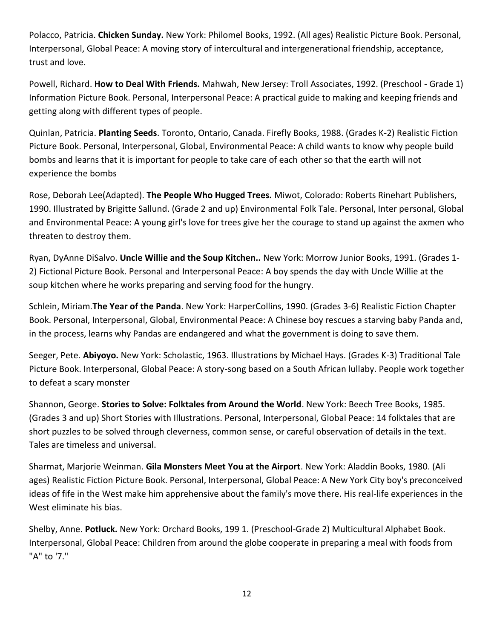Polacco, Patricia. **Chicken Sunday.** New York: Philomel Books, 1992. (All ages) Realistic Picture Book. Personal, Interpersonal, Global Peace: A moving story of intercultural and intergenerational friendship, acceptance, trust and love.

Powell, Richard. **How to Deal With Friends.** Mahwah, New Jersey: Troll Associates, 1992. (Preschool - Grade 1) Information Picture Book. Personal, Interpersonal Peace: A practical guide to making and keeping friends and getting along with different types of people.

Quinlan, Patricia. **Planting Seeds**. Toronto, Ontario, Canada. Firefly Books, 1988. (Grades K-2) Realistic Fiction Picture Book. Personal, Interpersonal, Global, Environmental Peace: A child wants to know why people build bombs and learns that it is important for people to take care of each other so that the earth will not experience the bombs

Rose, Deborah Lee(Adapted). **The People Who Hugged Trees.** Miwot, Colorado: Roberts Rinehart Publishers, 1990. Illustrated by Brigitte Sallund. (Grade 2 and up) Environmental Folk Tale. Personal, Inter personal, Global and Environmental Peace: A young girl's love for trees give her the courage to stand up against the axmen who threaten to destroy them.

Ryan, DyAnne DiSalvo. **Uncle Willie and the Soup Kitchen..** New York: Morrow Junior Books, 1991. (Grades 1- 2) Fictional Picture Book. Personal and Interpersonal Peace: A boy spends the day with Uncle Willie at the soup kitchen where he works preparing and serving food for the hungry.

Schlein, Miriam.**The Year of the Panda**. New York: HarperCollins, 1990. (Grades 3-6) Realistic Fiction Chapter Book. Personal, Interpersonal, Global, Environmental Peace: A Chinese boy rescues a starving baby Panda and, in the process, learns why Pandas are endangered and what the government is doing to save them.

Seeger, Pete. **Abiyoyo.** New York: Scholastic, 1963. Illustrations by Michael Hays. (Grades K-3) Traditional Tale Picture Book. Interpersonal, Global Peace: A story-song based on a South African lullaby. People work together to defeat a scary monster

Shannon, George. **Stories to Solve: Folktales from Around the World**. New York: Beech Tree Books, 1985. (Grades 3 and up) Short Stories with Illustrations. Personal, Interpersonal, Global Peace: 14 folktales that are short puzzles to be solved through cleverness, common sense, or careful observation of details in the text. Tales are timeless and universal.

Sharmat, Marjorie Weinman. **Gila Monsters Meet You at the Airport**. New York: Aladdin Books, 1980. (Ali ages) Realistic Fiction Picture Book. Personal, Interpersonal, Global Peace: A New York City boy's preconceived ideas of fife in the West make him apprehensive about the family's move there. His real-life experiences in the West eliminate his bias.

Shelby, Anne. **Potluck.** New York: Orchard Books, 199 1. (Preschool-Grade 2) Multicultural Alphabet Book. Interpersonal, Global Peace: Children from around the globe cooperate in preparing a meal with foods from "A" to '7."